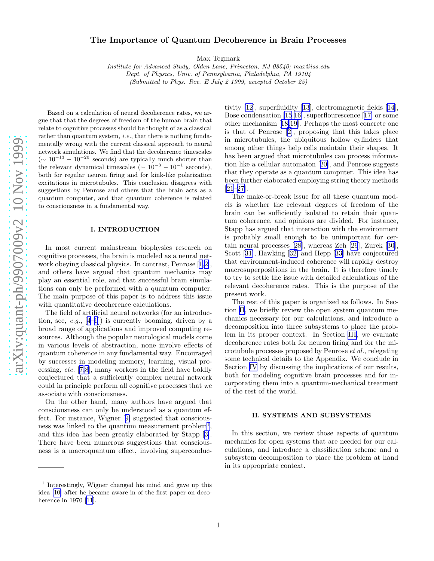# <span id="page-0-0"></span>The Importance of Quantum Decoherence in Brain Processes

Max Tegmark

*Institute for Advanced Study, Olden Lane, Princeton, NJ 08540; max@ias.edu Dept. of Physics, Univ. of Pennsylvania, Philadelphia, PA 19104 (Submitted to Phys. Rev. E July 2 1999, accepted October 25)*

Based on a calculation of neural decoherence rates, we argue that that the degrees of freedom of the human brain that relate to cognitive processes should be thought of as a classical rather than quantum system, *i.e.*, that there is nothing fundamentally wrong with the current classical approach to neural network simulations. We find that the decoherence timescale s ( $\sim 10^{-13} - 10^{-20}$  seconds) are typically much shorter than the relevant dynamical timescales  $(\sim 10^{-3} - 10^{-1}$  seconds), both for regular neuron firing and for kink-like polarizatio n excitations in microtubules. This conclusion disagrees with suggestions by Penrose and others that the brain acts as a quantum computer, and that quantum coherence is related to consciousness in a fundamental way.

## I. INTRODUCTION

In most current mainstream biophysics research on cognitive processes, the brain is modeled as a neural network obeying classical physics. In contrast, Penrose[[1,2\]](#page-13-0), and others have argued that quantum mechanics may play an essential role, and that successful brain simulations can only be performed with a quantum computer. The main purpose of this paper is to address this issue with quantitative decoherence calculations.

The field of artificial neural networks (for an introduction, see, e.g.,  $[4-6]$  is currently booming, driven by a broad range of applications and improved computing resources. Although the popular neurological models come in various levels of abstraction, none involve effects of quantum coherence in any fundamental way. Encouraged by successes in modeling memory, learning, visual processing, etc. [\[7](#page-13-0),[8\]](#page-13-0), many workers in the field have boldly conjectured that a sufficiently complex neural network could in principle perform all cognitive processes that we associate with consciousness.

On the other hand, many authors have argued that consciousness can only be understood as a quantum effect. For instance, Wigner[[9\]](#page-13-0) suggested that consciousness was linked to the quantum measurement problem<sup>1</sup>, and this idea has been greatly elaborated by Stapp[[3\]](#page-13-0). There have been numerous suggestions that consciousness is a macroquantum effect, involving superconduc-

tivity[[12](#page-13-0)], superfluidity [\[13](#page-13-0)], electromagnetic fields[[14\]](#page-13-0), Bose condensation [\[15](#page-13-0),[16\]](#page-13-0), superflourescence[[17\]](#page-13-0) or some other mechanism[[18,19\]](#page-13-0). Perhaps the most concrete one is that of Penrose[[2\]](#page-13-0), proposing that this takes place in microtubules, the ubiquitous hollow cylinders that among other things help cells maintain their shapes. It has been argued that microtubules can process information like a cellular automaton[[20\]](#page-13-0), and Penrose suggests that they operate as a quantum computer. This idea has been further elaborated employing string theory methods [[21–27\]](#page-13-0).

The make-or-break issue for all these quantum models is whether the relevant degrees of freedom of the brain can be sufficiently isolated to retain their quantum coherence, and opinions are divided. For instance, Stapp has argued that interaction with the environment is probably small enough to be unimportant for certain neural processes [\[28](#page-13-0)], whereas Zeh [\[29](#page-13-0)], Zurek[[30\]](#page-13-0), Scott[[31\]](#page-13-0), Hawking[[32\]](#page-13-0) and Hepp [\[33](#page-13-0)] have conjectured that environment-induced coherence will rapidly destroy macrosuperpositions in the brain. It is therefore timely to try to settle the issue with detailed calculations of the relevant decoherence rates. This is the purpose of the present work.

The rest of this paper is organized as follows. In Section II, we briefly review the open system quantum mechanics necessary for our calculations, and introduce a decomposition into three subsystems to place the problem in its proper context. In Section [III,](#page-3-0) we evaluate decoherence rates both for neuron firing and for the microtubule processes proposed by Penrose et al., relegating some technical details to the Appendix. We conclude in Section [IV](#page-7-0) by discussing the implications of our results, both for modeling cognitive brain processes and for incorporating them into a quantum-mechanical treatment of the rest of the world.

## II. SYSTEMS AND SUBSYSTEMS

In this section, we review those aspects of quantum mechanics for open systems that are needed for our calculations, and introduce a classification scheme and a subsystem decomposition to place the problem at hand in its appropriate context.

<sup>1</sup> Interestingly, Wigner changed his mind and gave up this idea[[10](#page-13-0)] after he became aware in of the first paper on decoherence in 1970 [\[11](#page-13-0)].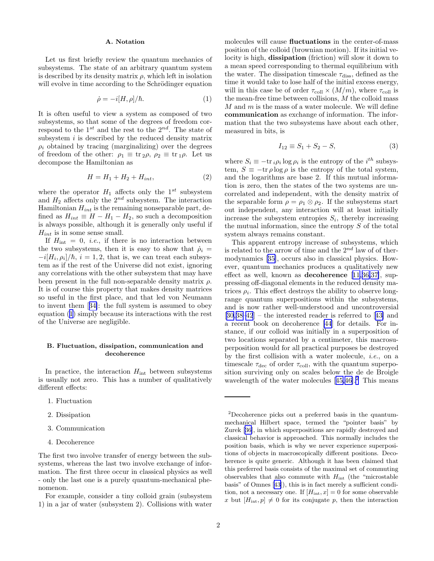## A. Notation

<span id="page-1-0"></span>Let us first briefly review the quantum mechanics of subsystems. The state of an arbitrary quantum system is described by its density matrix  $\rho$ , which left in isolation will evolve in time according to the Schrödinger equation

$$
\dot{\rho} = -i[H, \rho] / \hbar. \tag{1}
$$

It is often useful to view a system as composed of two subsystems, so that some of the degrees of freedom correspond to the  $1^{st}$  and the rest to the  $2^{nd}$ . The state of subsystem  $i$  is described by the reduced density matrix  $\rho_i$  obtained by tracing (marginalizing) over the degrees of freedom of the other:  $\rho_1 \equiv \text{tr}_2 \rho$ ,  $\rho_2 \equiv \text{tr}_1 \rho$ . Let us decompose the Hamiltonian as

$$
H = H_1 + H_2 + H_{int}, \t\t(2)
$$

where the operator  $H_1$  affects only the  $1^{st}$  subsystem and  $H_2$  affects only the  $2^{nd}$  subsystem. The interaction Hamiltonian  $H_{int}$  is the remaining nonseparable part, defined as  $H_{int} \equiv H - H_1 - H_2$ , so such a decomposition is always possible, although it is generally only useful if  $H_{int}$  is in some sense small.

If  $H_{\text{int}} = 0$ , *i.e.*, if there is no interaction between the two subsystems, then it is easy to show that  $\dot{\rho}_i$  =  $-i[H_i,\rho_i]/\hbar$ ,  $i=1,2$ , that is, we can treat each subsystem as if the rest of the Universe did not exist, ignoring any correlations with the other subsystem that may have been present in the full non-separable density matrix  $\rho$ . It is of course this property that makes density matrices so useful in the first place, and that led von Neumann to invent them[[34\]](#page-13-0): the full system is assumed to obey equation (1) simply because its interactions with the rest of the Universe are negligible.

# B. Fluctuation, dissipation, communication and decoherence

In practice, the interaction  $H_{\text{int}}$  between subsystems is usually not zero. This has a number of qualitatively different effects:

- 1. Fluctuation
- 2. Dissipation
- 3. Communication
- 4. Decoherence

The first two involve transfer of energy between the subsystems, whereas the last two involve exchange of information. The first three occur in classical physics as well - only the last one is a purely quantum-mechanical phenomenon.

For example, consider a tiny colloid grain (subsystem 1) in a jar of water (subsystem 2). Collisions with water

molecules will cause fluctuations in the center-of-mass position of the colloid (brownian motion). If its initial velocity is high, dissipation (friction) will slow it down to a mean speed corresponding to thermal equilibrium with the water. The dissipation timescale  $\tau_{\text{diss}}$ , defined as the time it would take to lose half of the initial excess energy, will in this case be of order  $\tau_{\text{coll}} \times (M/m)$ , where  $\tau_{\text{coll}}$  is the mean-free time between collisions, M the colloid mass  $M$  and  $m$  is the mass of a water molecule. We will define communication as exchange of information. The information that the two subsystems have about each other, measured in bits, is

$$
I_{12} \equiv S_1 + S_2 - S,\tag{3}
$$

where  $S_i \equiv -\text{tr}_i \rho_i \log \rho_i$  is the entropy of the  $i^{th}$  subsystem,  $S \equiv -\text{tr}\,\rho\log\rho$  is the entropy of the total system, and the logarithms are base 2. If this mutual information is zero, then the states of the two systems are uncorrelated and independent, with the density matrix of the separable form  $\rho = \rho_1 \otimes \rho_2$ . If the subsystems start out independent, any interaction will at least initially increase the subsystem entropies  $S_i$ , thereby increasing the mutual information, since the entropy  $S$  of the total system always remains constant.

This apparent entropy increase of subsystems, which is related to the arrow of time and the  $2^{nd}$  law of of thermodynamics[[35\]](#page-13-0), occurs also in classical physics. However, quantum mechanics produces a qualitatively new effect as well, known as decoherence [[11,36,37\]](#page-13-0), suppressing off-diagonal elements in the reduced density matrices  $\rho_i$ . This effect destroys the ability to observe longrange quantum superpositions within the subsystems, and is now rather well-understood and uncontroversial [[30,38–42](#page-13-0)] – the interested reader is referred to[[43\]](#page-13-0) and a recent book on decoherence [\[44](#page-13-0)] for details. For instance, if our colloid was initially in a superposition of two locations separated by a centimeter, this macrosuperposition would for all practical purposes be destroyed by the first collision with a water molecule, i.e., on a timescale  $\tau_{\text{dec}}$  of order  $\tau_{\text{coll}}$ , with the quantum superposition surviving only on scales below the de de Broigle wavelengthof the water molecules  $[45,46]$  $[45,46]$ <sup>2</sup>. This means

<sup>2</sup>Decoherence picks out a preferred basis in the quantummechanical Hilbert space, termed the "pointer basis" by Zurek[[36\]](#page-13-0), in which superpositions are rapidly destroyed and classical behavior is approached. This normally includes the position basis, which is why we never experience superpositions of objects in macroscopically different positions. Decoherence is quite generic. Although it has been claimed that this preferred basis consists of the maximal set of commuting observables that also commute with  $H_{\text{int}}$  (the "microstable basis" of Omnes[[43\]](#page-13-0)), this is in fact merely a sufficient condition, not a necessary one. If  $[H_{\text{int}}, x] = 0$  for some observable x but  $[H_{\text{int}}, p] \neq 0$  for its conjugate p, then the interaction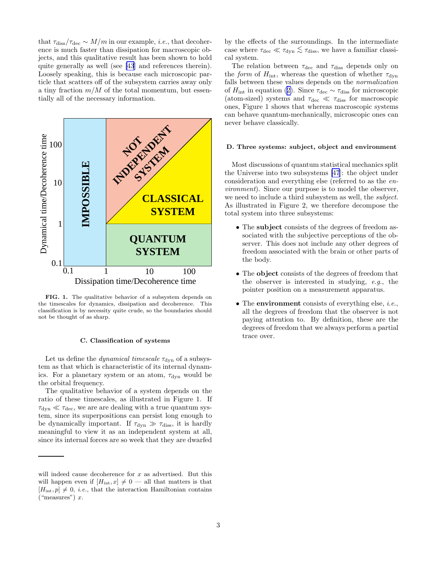that  $\tau_{\text{diss}}/\tau_{\text{dec}} \sim M/m$  in our example, *i.e.*, that decoherence is much faster than dissipation for macroscopic objects, and this qualitative result has been shown to hold quite generally as well (see [\[43](#page-13-0)] and references therein). Loosely speaking, this is because each microscopic particle that scatters off of the subsystem carries away only a tiny fraction  $m/M$  of the total momentum, but essentially all of the necessary information.



FIG. 1. The qualitative behavior of a subsystem depends on the timescales for dynamics, dissipation and decoherence. This classification is by necessity quite crude, so the boundaries should not be thought of as sharp.

#### C. Classification of systems

Let us define the *dynamical timescale*  $\tau_{dyn}$  of a subsystem as that which is characteristic of its internal dynamics. For a planetary system or an atom,  $\tau_{\text{dyn}}$  would be the orbital frequency.

The qualitative behavior of a system depends on the ratio of these timescales, as illustrated in Figure 1. If  $\tau_{\rm dyn} \ll \tau_{\rm dec}$ , we are are dealing with a true quantum system, since its superpositions can persist long enough to be dynamically important. If  $\tau_{dyn} \gg \tau_{diss}$ , it is hardly meaningful to view it as an independent system at all, since its internal forces are so week that they are dwarfed by the effects of the surroundings. In the intermediate case where  $\tau_{\text{dec}} \ll \tau_{\text{dyn}} \lesssim \tau_{\text{diss}}$ , we have a familiar classical system.

The relation between  $\tau_{\text{dec}}$  and  $\tau_{\text{diss}}$  depends only on the form of  $H_{\text{int}}$ , whereas the question of whether  $\tau_{\text{dyn}}$ falls between these values depends on the normalization of  $H_{\text{int}}$  in equation ([2\)](#page-1-0). Since  $\tau_{\text{dec}} \sim \tau_{\text{diss}}$  for microscopic (atom-sized) systems and  $\tau_{\text{dec}} \ll \tau_{\text{diss}}$  for macroscopic ones, Figure 1 shows that whereas macroscopic systems can behave quantum-mechanically, microscopic ones can never behave classically.

#### D. Three systems: subject, object and environment

Most discussions of quantum statistical mechanics split the Universe into two subsystems [\[47](#page-13-0)]: the object under consideration and everything else (referred to as the environment). Since our purpose is to model the observer, we need to include a third subsystem as well, the subject. As illustrated in Figure 2, we therefore decompose the total system into three subsystems:

- The **subject** consists of the degrees of freedom associated with the subjective perceptions of the observer. This does not include any other degrees of freedom associated with the brain or other parts of the body.
- The object consists of the degrees of freedom that the observer is interested in studying, e.g., the pointer position on a measurement apparatus.
- The environment consists of everything else, *i.e.*, all the degrees of freedom that the observer is not paying attention to. By definition, these are the degrees of freedom that we always perform a partial trace over.

will indeed cause decoherence for  $x$  as advertised. But this will happen even if  $[H_{\text{int}}, x] \neq 0$  — all that matters is that  $[H_{\text{int}}, p] \neq 0$ , *i.e.*, that the interaction Hamiltonian contains  $("measures") x.$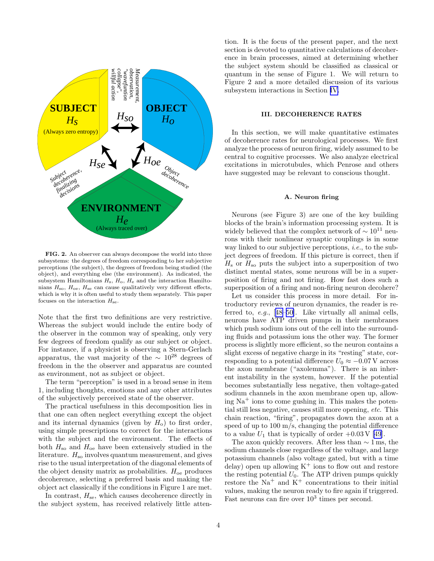<span id="page-3-0"></span>

FIG. 2. An observer can always decompose the world into three subsystems: the degrees of freedom corresponding to her subjective perceptions (the subject), the degrees of freedom being studied (the object), and everything else (the environment). As indicated, the subsystem Hamiltonians  $H_s$ ,  $H_o$ ,  $H_e$  and the interaction Hamiltonians  $H_{\text{so}}$ ,  $H_{\text{oe}}$ ,  $H_{\text{se}}$  can cause qualitatively very different effects, which is why it is often useful to study them separately. This paper focuses on the interaction  $H_{\text{se}}$ .

Note that the first two definitions are very restrictive. Whereas the subject would include the entire body of the observer in the common way of speaking, only very few degrees of freedom qualify as our subject or object. For instance, if a physicist is observing a Stern-Gerlach apparatus, the vast majority of the  $\sim 10^{28}$  degrees of freedom in the the observer and apparatus are counted as environment, not as subject or object.

The term "perception" is used in a broad sense in item 1, including thoughts, emotions and any other attributes of the subjectively perceived state of the observer.

The practical usefulness in this decomposition lies in that one can often neglect everything except the object and its internal dynamics (given by  $H_0$ ) to first order, using simple prescriptions to correct for the interactions with the subject and the environment. The effects of both  $H_{\rm so}$  and  $H_{\rm oe}$  have been extensively studied in the literature.  $H_{\rm so}$  involves quantum measurement, and gives rise to the usual interpretation of the diagonal elements of the object density matrix as probabilities.  $H_{oe}$  produces decoherence, selecting a preferred basis and making the object act classically if the conditions in Figure 1 are met.

In contrast,  $H_{\text{se}}$ , which causes decoherence directly in the subject system, has received relatively little atten-

tion. It is the focus of the present paper, and the next section is devoted to quantitative calculations of decoherence in brain processes, aimed at determining whether the subject system should be classified as classical or quantum in the sense of Figure 1. We will return to Figure 2 and a more detailed discussion of its various subsystem interactions in Section [IV.](#page-7-0)

## III. DECOHERENCE RATES

In this section, we will make quantitative estimates of decoherence rates for neurological processes. We first analyze the process of neuron firing, widely assumed to be central to cognitive processes. We also analyze electrical excitations in microtubules, which Penrose and others have suggested may be relevant to conscious thought.

#### A. Neuron firing

Neurons (see Figure 3) are one of the key building blocks of the brain's information processing system. It is widely believed that the complex network of  $\sim 10^{11}$  neurons with their nonlinear synaptic couplings is in some way linked to our subjective perceptions, i.e., to the subject degrees of freedom. If this picture is correct, then if  $H<sub>s</sub>$  or  $H<sub>so</sub>$  puts the subject into a superposition of two distinct mental states, some neurons will be in a superposition of firing and not firing. How fast does such a superposition of a firing and non-firing neuron decohere?

Let us consider this process in more detail. For introductory reviews of neuron dynamics, the reader is referred to, e.g.,[[48–50\]](#page-13-0). Like virtually all animal cells, neurons have ATP driven pumps in their membranes which push sodium ions out of the cell into the surrounding fluids and potassium ions the other way. The former process is slightly more efficient, so the neuron contains a slight excess of negative charge in its "resting" state, corresponding to a potential difference  $U_0 \approx -0.07$  V across the axon membrane ("axolemma"). There is an inherent instability in the system, however. If the potential becomes substantially less negative, then voltage-gated sodium channels in the axon membrane open up, allowing  $Na<sup>+</sup>$  ions to come gushing in. This makes the potential still less negative, causes still more opening, etc. This chain reaction, "firing", propagates down the axon at a speed of up to 100 m/s, changing the potential difference to a value  $U_1$  that is typically of order  $+0.03 \text{ V}$  [\[49](#page-13-0)].

The axon quickly recovers. After less than  $\sim 1 \,\text{ms}$ , the sodium channels close regardless of the voltage, and large potassium channels (also voltage gated, but with a time delay) open up allowing  $K^+$  ions to flow out and restore the resting potential  $U_0$ . The ATP driven pumps quickly restore the  $Na<sup>+</sup>$  and  $K<sup>+</sup>$  concentrations to their initial values, making the neuron ready to fire again if triggered. Fast neurons can fire over  $10^3$  times per second.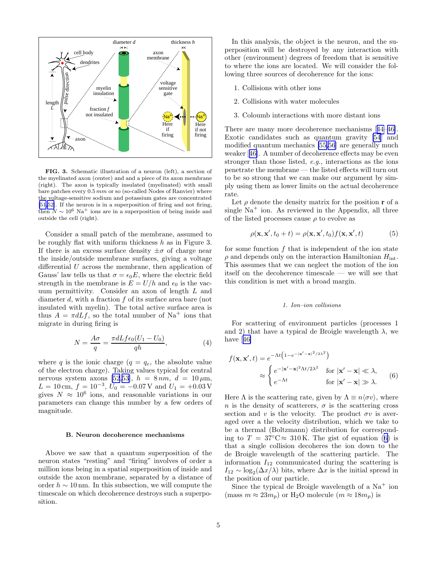<span id="page-4-0"></span>

FIG. 3. Schematic illustration of a neuron (left), a section of the myelinated axon (center) and and a piece of its axon membrane (right). The axon is typically insulated (myelinated) with small bare patches every 0.5 mm or so (so-called Nodes of Ranvier) where the voltage-sensitive sodium and potassium gates are concentrated [\[51,52\]](#page-13-0). If the neuron is in a superposition of firing and not firing, then  $N \sim 10^6$  Na<sup>+</sup> ions are in a superposition of being inside and outside the cell (right).

Consider a small patch of the membrane, assumed to be roughly flat with uniform thickness  $h$  as in Figure 3. If there is an excess surface density  $\pm \sigma$  of charge near the inside/outside membrane surfaces, giving a voltage differential U across the membrane, then application of Gauss' law tells us that  $\sigma = \epsilon_0 E$ , where the electric field strength in the membrane is  $E = U/h$  and  $\epsilon_0$  is the vacuum permittivity. Consider an axon of length L and diameter d, with a fraction f of its surface area bare (not insulated with myelin). The total active surface area is thus  $A = \pi dLf$ , so the total number of Na<sup>+</sup> ions that migrate in during firing is

$$
N = \frac{A\sigma}{q} = \frac{\pi dL f \epsilon_0 (U_1 - U_0)}{qh},\tag{4}
$$

where q is the ionic charge  $(q = q_e)$ , the absolute value of the electron charge). Taking values typical for central nervous system axons [\[52,53](#page-13-0)],  $h = 8 \, nm$ ,  $d = 10 \, \mu \text{m}$ ,  $L = 10 \text{ cm}, f = 10^{-3}, U_0 = -0.07 \text{ V} \text{ and } U_1 = +0.03 \text{ V}$ gives  $N \approx 10^6$  ions, and reasonable variations in our parameters can change this number by a few orders of magnitude.

#### B. Neuron decoherence mechanisms

Above we saw that a quantum superposition of the neuron states "resting" and "firing" involves of order a million ions being in a spatial superposition of inside and outside the axon membrane, separated by a distance of order  $h \sim 10 \text{ nm}$ . In this subsection, we will compute the timescale on which decoherence destroys such a superposition.

In this analysis, the object is the neuron, and the superposition will be destroyed by any interaction with other (environment) degrees of freedom that is sensitive to where the ions are located. We will consider the following three sources of decoherence for the ions:

- 1. Collisions with other ions
- 2. Collisions with water molecules
- 3. Coloumb interactions with more distant ions

There are many more decoherence mechanisms[[44–46\]](#page-13-0). Exotic candidates such as quantum gravity [\[54](#page-13-0)] and modified quantum mechanics [\[55,56](#page-13-0)] are generally much weaker[[46\]](#page-13-0). A number of decoherence effects may be even stronger than those listed, e.g., interactions as the ions penetrate the membrane — the listed effects will turn out to be so strong that we can make our argument by simply using them as lower limits on the actual decoherence rate.

Let  $\rho$  denote the density matrix for the position **r** of a single  $Na<sup>+</sup>$  ion. As reviewed in the Appendix, all three of the listed processes cause  $\rho$  to evolve as

$$
\rho(\mathbf{x}, \mathbf{x}', t_0 + t) = \rho(\mathbf{x}, \mathbf{x}', t_0) f(\mathbf{x}, \mathbf{x}', t)
$$
(5)

for some function  $f$  that is independent of the ion state  $\rho$  and depends only on the interaction Hamiltonian  $H_{\text{int}}$ . This assumes that we can neglect the motion of the ion itself on the decoherence timescale — we will see that this condition is met with a broad margin.

#### *1. Ion–ion collisions*

For scattering of environment particles (processes 1 and 2) that have a typical de Broigle wavelength  $\lambda$ , we have[[46\]](#page-13-0)

$$
f(\mathbf{x}, \mathbf{x}', t) = e^{-\Lambda t \left(1 - e^{-|\mathbf{x}' - \mathbf{x}|^2 / 2\lambda^2}\right)}
$$
  
 
$$
\approx \begin{cases} e^{-|\mathbf{x}' - \mathbf{x}|^2 \Lambda t / 2\lambda^2} & \text{for } |\mathbf{x}' - \mathbf{x}| \ll \lambda, \\ e^{-\Lambda t} & \text{for } |\mathbf{x}' - \mathbf{x}| \gg \lambda. \end{cases}
$$
 (6)

Here  $\Lambda$  is the scattering rate, given by  $\Lambda \equiv n \langle \sigma v \rangle$ , where n is the density of scatterers,  $\sigma$  is the scattering cross section and v is the velocity. The product  $\sigma v$  is averaged over a the velocity distribution, which we take to be a thermal (Boltzmann) distribution for corresponding to  $T = 37$ °C  $\approx 310$  K. The gist of equation (6) is that a single collision decoheres the ion down to the de Broigle wavelength of the scattering particle. The information  $I_{12}$  communicated during the scattering is  $I_{12} \sim \log_2(\Delta x/\lambda)$  bits, where  $\Delta x$  is the initial spread in the position of our particle.

Since the typical de Broigle wavelength of a  $\mathrm{Na}^+$ ion (mass  $m \approx 23m_p$ ) or H<sub>2</sub>O molecule ( $m \approx 18m_p$ ) is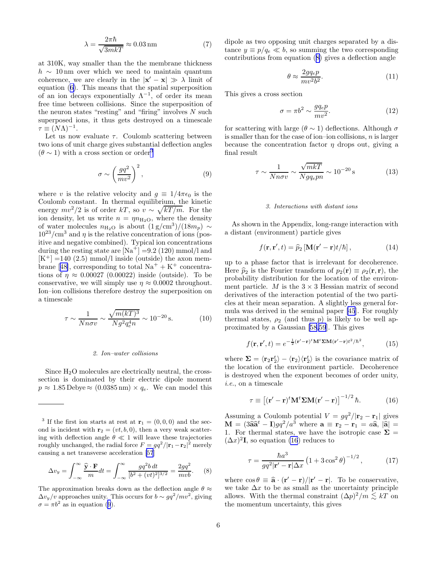$$
\lambda = \frac{2\pi\hbar}{\sqrt{3mkT}} \approx 0.03 \,\text{nm} \tag{7}
$$

<span id="page-5-0"></span>at 310K, way smaller than the the membrane thickness  $h \sim 10 \,\mathrm{nm}$  over which we need to maintain quantum coherence, we are clearly in the  $|\mathbf{x}' - \mathbf{x}| \gg \lambda$  limit of equation ([6\)](#page-4-0). This means that the spatial superposition of an ion decays exponentially  $\Lambda^{-1}$ , of order its mean free time between collisions. Since the superposition of the neuron states "resting" and "firing" involves  $N$  such superposed ions, it thus gets destroyed on a timescale  $\tau \equiv (N\Lambda)^{-1}.$ 

Let us now evaluate  $\tau$ . Coulomb scattering between two ions of unit charge gives substantial deflection angles  $(\theta \sim 1)$  with a cross section or order<sup>3</sup>

$$
\sigma \sim \left(\frac{gq^2}{mv^2}\right)^2,\tag{9}
$$

where v is the relative velocity and  $g \equiv 1/4\pi\epsilon_0$  is the Coulomb constant. In thermal equilibrium, the kinetic energy  $mv^2/2$  is of order kT, so  $v \sim \sqrt{kT/m}$ . For the ion density, let us write  $n = \eta n_{\text{H}_2\text{O}}$ , where the density of water molecules  $n_{\text{H}_2\text{O}}$  is about  $\left(\frac{1 \text{ g/cm}^3}{\text{m}}\right)$  ∼  $10^{23}/\text{cm}^3$  and  $\eta$  is the relative concentration of ions (positive and negative combined). Typical ion concentrations during the resting state are  $[Na^+] = 9.2 (120)$  mmol/l and  $[K^+] = 140$  (2.5) mmol/l inside (outside) the axon mem-brane[[48\]](#page-13-0), corresponding to total  $Na^+ + K^+$  concentrations of  $\eta \approx 0.00027$  (0.00022) inside (outside). To be conservative, we will simply use  $\eta \approx 0.0002$  throughout. Ion–ion collisions therefore destroy the superposition on a timescale

$$
\tau \sim \frac{1}{Nn\sigma v} \sim \frac{\sqrt{m(kT)^3}}{Ng^2 q_e^4 n} \sim 10^{-20} \,\text{s.}
$$
 (10)

#### *2. Ion–water collisions*

Since  $H_2O$  molecules are electrically neutral, the crosssection is dominated by their electric dipole moment  $p \approx 1.85$  Debye  $\approx (0.0385 \,\text{nm}) \times q_e$ . We can model this

$$
\Delta v_y = \int_{-\infty}^{\infty} \frac{\hat{\mathbf{y}} \cdot \mathbf{F}}{m} dt = \int_{-\infty}^{\infty} \frac{gq^2 b dt}{[b^2 + (vt)^2]^{3/2}} = \frac{2gq^2}{mvb}.
$$
 (8)

The approximation breaks down as the deflection angle  $\theta$   $\approx$  $\Delta v_y/v$  approaches unity. This occurs for  $b \sim gq^2/mv^2$ , giving  $\sigma = \pi b^2$  as in equation (9).

dipole as two opposing unit charges separated by a distance  $y \equiv p/q_e \ll b$ , so summing the two corresponding contributions from equation (8) gives a deflection angle

$$
\theta \approx \frac{2gq_e p}{mv^2 b^2}.\tag{11}
$$

This gives a cross section

$$
\sigma = \pi b^2 \sim \frac{gq_e p}{mv^2}.\tag{12}
$$

for scattering with large ( $\theta \sim 1$ ) deflections. Although  $\sigma$ is smaller than for the case of ion–ion collisions,  $n$  is larger because the concentration factor  $\eta$  drops out, giving a final result

$$
\tau \sim \frac{1}{N n \sigma v} \sim \frac{\sqrt{mkT}}{N g q_e p n} \sim 10^{-20} \,\text{s} \tag{13}
$$

## *3. Interactions with distant ions*

As shown in the Appendix, long-range interaction with a distant (environment) particle gives

$$
f(\mathbf{r}, \mathbf{r}', t) = \hat{p}_2 \left[ \mathbf{M} (\mathbf{r}' - \mathbf{r}) t / \hbar \right], \tag{14}
$$

up to a phase factor that is irrelevant for decoherence. Here  $\hat{p}_2$  is the Fourier transform of  $p_2(\mathbf{r}) \equiv \rho_2(\mathbf{r}, \mathbf{r})$ , the probability distribution for the location of the environment particle. M is the  $3 \times 3$  Hessian matrix of second derivatives of the interaction potential of the two particles at their mean separation. A slightly less general formula was derived in the seminal paper [\[45](#page-13-0)]. For roughly thermal states,  $\rho_2$  (and thus p) is likely to be well approximated by a Gaussian [\[58,59](#page-13-0)]. This gives

$$
f(\mathbf{r}, \mathbf{r}', t) = e^{-\frac{1}{2}(\mathbf{r}' - \mathbf{r})^t \mathbf{M}^t \mathbf{\Sigma} \mathbf{M} (\mathbf{r}' - \mathbf{r}) t^2 / \hbar^2}, \tag{15}
$$

where  $\Sigma = \langle \mathbf{r}_2 \mathbf{r}_2^t \rangle - \langle \mathbf{r}_2 \rangle \langle \mathbf{r}_2^t \rangle$  is the covariance matrix of the location of the environment particle. Decoherence is destroyed when the exponent becomes of order unity, i.e., on a timescale

$$
\tau \equiv \left[ (\mathbf{r}' - \mathbf{r})^t \mathbf{M}^t \Sigma \mathbf{M} (\mathbf{r}' - \mathbf{r}) \right]^{-1/2} \hbar. \tag{16}
$$

Assuming a Coulomb potential  $V = \frac{qq^2}{|\mathbf{r}_2 - \mathbf{r}_1|}$  gives  $\mathbf{M} = (3\hat{\mathbf{a}}\hat{\mathbf{a}}^t - \mathbf{I})gq^2/a^3$  where  $\mathbf{a} \equiv \mathbf{r}_2 - \mathbf{r}_1 = a\hat{\mathbf{a}}, |\hat{\mathbf{a}}| =$ <br>1. For thermal states, we have the isotropic second 1. For thermal states, we have the isotropic case  $\Sigma =$  $(\Delta x)^2$ **I**, so equation (16) reduces to

$$
\tau = \frac{\hbar a^3}{gq^2|\mathbf{r}' - \mathbf{r}| \Delta x} \left(1 + 3\cos^2\theta\right)^{-1/2},\tag{17}
$$

where  $\cos \theta \equiv \hat{\mathbf{a}} \cdot (\mathbf{r}' - \mathbf{r})/|\mathbf{r}' - \mathbf{r}|$ . To be conservative, we take  $\Delta x$  to be as small as the uncertainty principle allows. With the thermal constraint  $(\Delta p)^2/m \lesssim kT$  on<br>the momentum uncertainty this gives the momentum uncertainty, this gives

<sup>&</sup>lt;sup>3</sup> If the first ion starts at rest at  $\mathbf{r}_1 = (0,0,0)$  and the second is incident with  $\mathbf{r}_2 = (vt, b, 0)$ , then a very weak scattering with deflection angle  $\theta \ll 1$  will leave these trajectories roughly unchanged, the radial force  $F = g q^2 / |\mathbf{r}_1 - \mathbf{r}_2|^2$  merely causing a net transverse acceleration [\[57](#page-13-0)]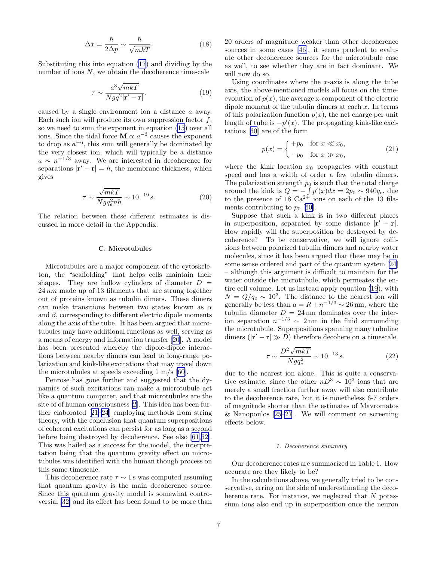$$
\Delta x = \frac{\hbar}{2\Delta p} \sim \frac{\hbar}{\sqrt{mkT}}.\tag{18}
$$

Substituting this into equation ([17\)](#page-5-0) and dividing by the number of ions  $N$ , we obtain the decoherence timescale

$$
\tau \sim \frac{a^3 \sqrt{mkT}}{Ngq^2|\mathbf{r}' - \mathbf{r}|}.\tag{19}
$$

caused by a single environment ion a distance a away. Each such ion will produce its own suppression factor  $f$ , so we need to sum the exponent in equation ([15\)](#page-5-0) over all ions. Since the tidal force  $\mathbf{M} \propto a^{-3}$  causes the exponent to drop as  $a^{-6}$ , this sum will generally be dominated by the very closest ion, which will typically be a distance  $a \sim n^{-1/3}$  away. We are interested in decoherence for separations  $|\mathbf{r}' - \mathbf{r}| = h$ , the membrane thickness, which gives

$$
\tau \sim \frac{\sqrt{mkT}}{Ngq_e^2nh} \sim 10^{-19} \,\text{s.} \tag{20}
$$

The relation between these different estimates is discussed in more detail in the Appendix.

## C. Microtubules

Microtubules are a major component of the cytoskeleton, the "scaffolding" that helps cells maintain their shapes. They are hollow cylinders of diameter  $D =$ 24 nm made up of 13 filaments that are strung together out of proteins known as tubulin dimers. These dimers can make transitions between two states known as  $\alpha$ and  $\beta$ , corresponding to different electric dipole moments along the axis of the tube. It has been argued that microtubules may have additional functions as well, serving as a means of energy and information transfer [\[20](#page-13-0)]. A model has been presented whereby the dipole-dipole interactions between nearby dimers can lead to long-range polarization and kink-like excitations that may travel down the microtubules at speeds exceeding 1 m/s[[60\]](#page-13-0).

Penrose has gone further and suggested that the dynamics of such excitations can make a microtubule act like a quantum computer, and that microtubules are the site of of human consciousness [\[2](#page-13-0)]. This idea has been further elaborated[[21–24](#page-13-0)] employing methods from string theory, with the conclusion that quantum superpositions of coherent excitations can persist for as long as a second before being destroyed by decoherence. See also[[61,62\]](#page-13-0). This was hailed as a success for the model, the interpretation being that the quantum gravity effect on microtubules was identified with the human though process on this same timescale.

This decoherence rate  $\tau \sim 1 \,\text{s}$  was computed assuming that quantum gravity is the main decoherence source. Since this quantum gravity model is somewhat controversial [\[32\]](#page-13-0) and its effect has been found to be more than 20 orders of magnitude weaker than other decoherence sources in some cases[[46\]](#page-13-0), it seems prudent to evaluate other decoherence sources for the microtubule case as well, to see whether they are in fact dominant. We will now do so.

Using coordinates where the  $x$ -axis is along the tube axis, the above-mentioned models all focus on the timeevolution of  $p(x)$ , the average x-component of the electric dipole moment of the tubulin dimers at each  $x$ . In terms of this polarization function  $p(x)$ , the net charge per unit length of tube is  $-p'(x)$ . The propagating kink-like excitations [\[60](#page-13-0)] are of the form

$$
p(x) = \begin{cases} +p_0 & \text{for } x \ll x_0, \\ -p_0 & \text{for } x \gg x_0, \end{cases}
$$
 (21)

where the kink location  $x_0$  propagates with constant speed and has a width of order a few tubulin dimers. The polarization strength  $p_0$  is such that the total charge around the kink is  $Q = \int p'(x)dx = 2p_0 \sim 940q_e$ , due to the presence of 18  $Ca^{2+}$  ions on each of the 13 filaments contributing to  $p_0$  [[60\]](#page-13-0).

Suppose that such a kink is in two different places in superposition, separated by some distance  $|\mathbf{r}' - \mathbf{r}|$ . How rapidly will the superposition be destroyed by decoherence? To be conservative, we will ignore collisions between polarized tubulin dimers and nearby water molecules, since it has been argued that these may be in some sense ordered and part of the quantum system [\[24](#page-13-0)] – although this argument is difficult to maintain for the water outside the microtubule, which permeates the entire cell volume. Let us instead apply equation (19), with  $N = Q/q_e \sim 10^3$ . The distance to the nearest ion will generally be less than  $a = R + n^{-1/3} \sim 26$  nm, where the tubulin diameter  $D = 24$  nm dominates over the interion separation  $n^{-1/3} \sim 2 \text{ nm}$  in the fluid surrounding the microtubule. Superpositions spanning many tubuline dimers  $(|\mathbf{r}' - \mathbf{r}| \gg D)$  therefore decohere on a timescale

$$
\tau \sim \frac{D^2 \sqrt{mkT}}{N g q_e^2} \sim 10^{-13} \,\text{s.} \tag{22}
$$

due to the nearest ion alone. This is quite a conservative estimate, since the other  $nD^3 \sim 10^3$  ions that are merely a small fraction further away will also contribute to the decoherence rate, but it is nonetheless 6-7 orders of magnitude shorter than the estimates of Mavromatos & Nanopoulos [\[25–27](#page-13-0)]. We will comment on screening effects below.

#### *1. Decoherence summary*

Our decoherence rates are summarized in Table 1. How accurate are they likely to be?

In the calculations above, we generally tried to be conservative, erring on the side of underestimating the decoherence rate. For instance, we neglected that N potassium ions also end up in superposition once the neuron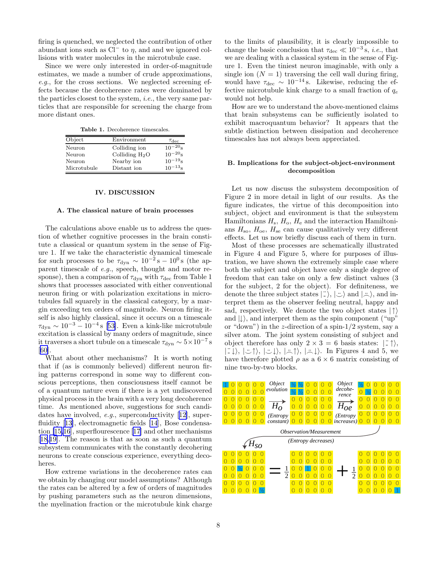<span id="page-7-0"></span>firing is quenched, we neglected the contribution of other abundant ions such as  $Cl^-$  to  $\eta$ , and and we ignored collisions with water molecules in the microtubule case.

Since we were only interested in order-of-magnitude estimates, we made a number of crude approximations, e.g., for the cross sections. We neglected screening effects because the decoherence rates were dominated by the particles closest to the system, i.e., the very same particles that are responsible for screening the charge from more distant ones.

Table 1. Decoherence timescales.

| Object      | Environment      | $\tau_{\rm dec}$ |
|-------------|------------------|------------------|
| Neuron      | Colliding ion    | $10^{-20}$ s     |
| Neuron      | Colliding $H_2O$ | $10^{-20}$ s     |
| Neuron      | Nearby ion       | $10^{-19}$ s     |
| Microtubule | Distant ion      | $10^{-13}$ s     |

#### IV. DISCUSSION

#### A. The classical nature of brain processes

The calculations above enable us to address the question of whether cognitive processes in the brain constitute a classical or quantum system in the sense of Figure 1. If we take the characteristic dynamical timescale for such processes to be  $\tau_{\rm dyn} \sim 10^{-2} \,\rm s - 10^0 \,\rm s$  (the apparent timescale of e.g., speech, thought and motor response), then a comparison of  $\tau_{dyn}$  with  $\tau_{dec}$  from Table 1 shows that processes associated with either conventional neuron firing or with polarization excitations in microtubules fall squarely in the classical category, by a margin exceeding ten orders of magnitude. Neuron firing itself is also highly classical, since it occurs on a timescale  $\tau_{\rm dyn} \sim 10^{-3} - 10^{-4} \,\rm s$  $\tau_{\rm dyn} \sim 10^{-3} - 10^{-4} \,\rm s$  $\tau_{\rm dyn} \sim 10^{-3} - 10^{-4} \,\rm s$  [[53\]](#page-13-0). Even a kink-like microtubule excitation is classical by many orders of magnitude, since it traverses a short tubule on a timescale  $\tau_{\rm dyn} \sim 5 \times 10^{-7}$  s [[60\]](#page-13-0).

What about other mechanisms? It is worth noting that if (as is commonly believed) different neuron firing patterns correspond in some way to different conscious perceptions, then consciousness itself cannot be of a quantum nature even if there is a yet undiscovered physical process in the brain with a very long decoherence time. As mentioned above, suggestions for such candi-dateshave involved, e.g., superconductivity [[12\]](#page-13-0), super-fluidity[[13\]](#page-13-0), electromagnetic fields [\[14](#page-13-0)], Bose condensation [\[15,16](#page-13-0)], superflourescence[[17](#page-13-0)] and other mechanisms [[18,19\]](#page-13-0). The reason is that as soon as such a quantum subsystem communicates with the constantly decohering neurons to create conscious experience, everything decoheres.

How extreme variations in the decoherence rates can we obtain by changing our model assumptions? Although the rates can be altered by a few of orders of magnitudes by pushing parameters such as the neuron dimensions, the myelination fraction or the microtubule kink charge

to the limits of plausibility, it is clearly impossible to change the basic conclusion that  $\tau_{\text{dec}} \ll 10^{-3}$  s, *i.e.*, that we are dealing with a classical system in the sense of Figure 1. Even the tiniest neuron imaginable, with only a single ion  $(N = 1)$  traversing the cell wall during firing, would have  $\tau_{\text{dec}} \sim 10^{-14} \text{ s}$ . Likewise, reducing the effective microtubule kink charge to a small fraction of  $q_e$ would not help.

How are we to understand the above-mentioned claims that brain subsystems can be sufficiently isolated to exhibit macroquantum behavior? It appears that the subtle distinction between dissipation and decoherence timescales has not always been appreciated.

# B. Implications for the subject-object-environment decomposition

Let us now discuss the subsystem decomposition of Figure 2 in more detail in light of our results. As the figure indicates, the virtue of this decomposition into subject, object and environment is that the subsystem Hamiltonians  $H_s$ ,  $H_o$ ,  $H_e$  and the interaction Hamiltonians  $H_{\rm so}$ ,  $H_{\rm oe}$ ,  $H_{\rm se}$  can cause qualitatively very different effects. Let us now briefly discuss each of them in turn.

Most of these processes are schematically illustrated in Figure 4 and Figure 5, where for purposes of illustration, we have shown the extremely simple case where both the subject and object have only a single degree of freedom that can take on only a few distinct values (3 for the subject, 2 for the object). For definiteness, we denote the three subject states  $|\rangle$ ,  $|\rangle$  and  $|\rangle$ , and interpret them as the observer feeling neutral, happy and sad, respectively. We denote the two object states  $|\uparrow\rangle$ and  $|\downarrow\rangle$ , and interpret them as the spin component ("up" or "down") in the z-direction of a spin-1/2 system, say a silver atom. The joint system consisting of subject and object therefore has only  $2 \times 3 = 6$  basis states:  $|\cdot|$ ;  $|\vdots \downarrow\rangle$ ,  $|\ddots \uparrow\rangle$ ,  $|\ddots \downarrow\rangle$ ,  $|\ddots \uparrow\rangle$ ,  $|\ddots \downarrow\rangle$ . In Figures 4 and 5, we have therefore plotted  $\rho$  as a  $6 \times 6$  matrix consisting of nine two-by-two blocks.

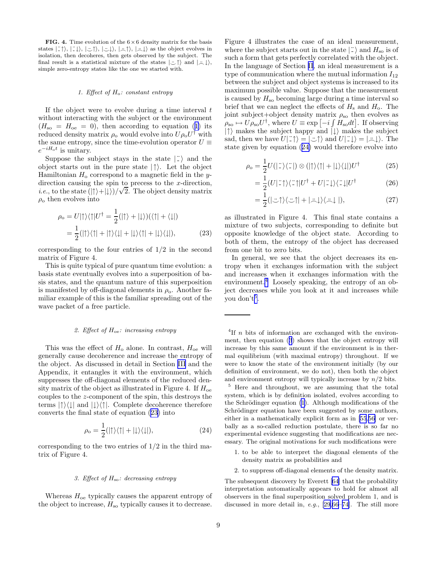FIG. 4. Time evolution of the  $6\times 6$  density matrix for the basis states  $|\hat{\ }|\uparrow\rangle$ ,  $|\hat{\ }|\downarrow\rangle$ ,  $|\hat{\ }|\downarrow\rangle$ ,  $|\hat{\ }|\downarrow\rangle$ ,  $|\hat{\ }|\downarrow\rangle$  as the object evolves in isolation, then decoheres, then gets observed by the subject. The final result is a statistical mixture of the states  $|\circlearrowright\rangle$  and  $|\circlearrowright\downarrow\rangle$ , simple zero-entropy states like the one we started with.

## *1. Effect of* Ho*: constant entropy*

If the object were to evolve during a time interval  $t$ without interacting with the subject or the environment  $(H_{\rm so} = H_{\rm oe} = 0)$ , then according to equation ([1\)](#page-1-0) its reduced density matrix  $\rho_0$  would evolve into  $U\rho_0 U^{\dagger}$  with the same entropy, since the time-evolution operator  $U \equiv$  $e^{-iH_0t}$  is unitary.

Suppose the subject stays in the state  $|\ddot{z}\rangle$  and the object starts out in the pure state  $|\uparrow\rangle$ . Let the object Hamiltonian  $H_0$  correspond to a magnetic field in the ydirection causing the spin to precess to the  $x$ -direction, i.e., to the state  $(|\uparrow\rangle + |\downarrow\rangle)/\sqrt{2}$ . The object density matrix  $\rho_0$  then evolves into

$$
\rho_{\rm o} = U|\uparrow\rangle\langle\uparrow|U^{\dagger} = \frac{1}{2}(|\uparrow\rangle + |\downarrow\rangle)(\langle\uparrow| + \langle\downarrow|)
$$

$$
= \frac{1}{2}(|\uparrow\rangle\langle\uparrow| + |\uparrow\rangle\langle\downarrow| + |\downarrow\rangle\langle\uparrow| + |\downarrow\rangle\langle\downarrow|), \tag{23}
$$

corresponding to the four entries of  $1/2$  in the second matrix of Figure 4.

This is quite typical of pure quantum time evolution: a basis state eventually evolves into a superposition of basis states, and the quantum nature of this superposition is manifested by off-diagonal elements in  $\rho_{o}$ . Another familiar example of this is the familiar spreading out of the wave packet of a free particle.

# *2. Effect of* Hoe*: increasing entropy*

This was the effect of  $H_0$  alone. In contrast,  $H_{oe}$  will generally cause decoherence and increase the entropy of the object. As discussed in detail in Section [III](#page-3-0) and the Appendix, it entangles it with the environment, which suppresses the off-diagonal elements of the reduced density matrix of the object as illustrated in Figure 4. If  $H_{oe}$ couples to the z-component of the spin, this destroys the terms  $|\uparrow\rangle\langle\downarrow|$  and  $|\downarrow\rangle\langle\uparrow|$ . Complete decoherence therefore converts the final state of equation (23) into

$$
\rho_{\rm o} = \frac{1}{2} (|\uparrow\rangle\langle\uparrow| + |\downarrow\rangle\langle\downarrow|), \tag{24}
$$

corresponding to the two entries of 1/2 in the third matrix of Figure 4.

## *3. Effect of* Hso*: decreasing entropy*

Whereas  $H_{oe}$  typically causes the apparent entropy of the object to increase,  $H_{so}$  typically causes it to decrease.

Figure 4 illustrates the case of an ideal measurement, where the subject starts out in the state  $|\cdot\rangle$  and  $H_{\rm so}$  is of such a form that gets perfectly correlated with the object. In the language of Section [II](#page-0-0), an ideal measurement is a type of communication where the mutual information  $I_{12}$ between the subject and object systems is increased to its maximum possible value. Suppose that the measurement is caused by  $H_{\rm so}$  becoming large during a time interval so brief that we can neglect the effects of  $H_s$  and  $H_o$ . The joint subject+object density matrix  $\rho_{\rm so}$  then evolves as  $\rho_{\rm so} \mapsto U \rho_{\rm so} U^{\dagger}$ , where  $U \equiv \exp \left[-i \int H_{\rm so} dt\right]$ . If observing  $|\uparrow\rangle$  makes the subject happy and  $|\downarrow\rangle$  makes the subject sad, then we have  $U|\tilde{\ }|\uparrow\rangle = |\tilde{\ }|\uparrow\rangle$  and  $U|\tilde{\ }|\downarrow\rangle = |\tilde{\ }|\downarrow\rangle$ . The state given by equation (24) would therefore evolve into

$$
\rho_{\rm o} = \frac{1}{2} U(|\dot{\mathbf{r}}\rangle\langle\ddot{\mathbf{r}}|) \otimes (|\uparrow\rangle\langle\uparrow| + |\downarrow\rangle\langle\downarrow|) U^{\dagger} \tag{25}
$$

$$
=\frac{1}{2}\langle U|\ddot{z}\uparrow\rangle\langle\ddot{z}\uparrow|U^{\dagger}+U|\ddot{z}\downarrow\rangle\langle\ddot{z}\downarrow|U^{\dagger}
$$
\n(26)

$$
=\frac{1}{2}(|\dot{\psi}\rangle\langle\dot{\psi}\rangle|+|\dot{\psi}\rangle\langle\dot{\psi}\rangle|),\tag{27}
$$

as illustrated in Figure 4. This final state contains a mixture of two subjects, corresponding to definite but opposite knowledge of the object state. According to both of them, the entropy of the object has decreased from one bit to zero bits.

In general, we see that the object decreases its entropy when it exchanges information with the subject and increases when it exchanges information with the environment.<sup>4</sup> Loosely speaking, the entropy of an object decreases while you look at it and increases while you don't<sup>5</sup> .

<sup>4</sup>If *n* bits of information are exchanged with the environ-ment, then equation ([3](#page-1-0)) shows that the object entropy will increase by this same amount if the environment is in thermal equilibrium (with maximal entropy) throughout. If we were to know the state of the environment initially (by our definition of environment, we do not), then both the object and environment entropy will typically increase by  $n/2$  bits.

<sup>5</sup> Here and throughout, we are assuming that the total system, which is by definition isolated, evolves according to the Schrödinger equation  $(1)$ . Although modifications of the Schrödinger equation have been suggested by some authors, either in a mathematically explicit form as in [\[55](#page-13-0),[56\]](#page-13-0) or verbally as a so-called reduction postulate, there is so far no experimental evidence suggesting that modifications are necessary. The original motivations for such modifications were

- 1. to be able to interpret the diagonal elements of the density matrix as probabilities and
- 2. to suppress off-diagonal elements of the density matrix.

The subsequent discovery by Everett[[64\]](#page-14-0) that the probability interpretation automatically appears to hold for almost all observers in the final superposition solved problem 1, and is discussed in more detail in, *e.g.*, [\[29](#page-13-0),[66–74\]](#page-14-0). The still more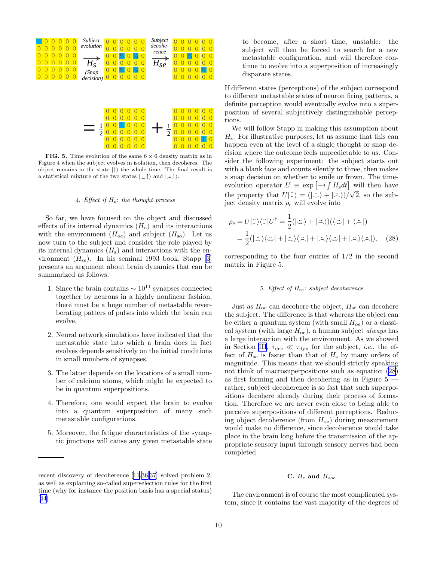<span id="page-9-0"></span>



FIG. 5. Time evolution of the same  $6 \times 6$  density matrix as in Figure 4 when the subject evolves in isolation, then decoheres. The object remains in the state  $|\uparrow\rangle$  the whole time. The final result is a statistical mixture of the two states  $|\neg \uparrow\rangle$  and  $|\neg \uparrow\rangle$ .

## *4. Effect if* Hs*: the thought process*

So far, we have focused on the object and discussed effects of its internal dynamics  $(H<sub>o</sub>)$  and its interactions with the environment  $(H_{oe})$  and subject  $(H_{so})$ . Let us now turn to the subject and consider the role played by its internal dynamics  $(H<sub>s</sub>)$  and interactions with the environment  $(H_{\text{se}})$ . In his seminal 1993 book, Stapp [\[3](#page-13-0)] presents an argument about brain dynamics that can be summarized as follows.

- 1. Since the brain contains  $\sim 10^{11}$  synapses connected together by neurons in a highly nonlinear fashion, there must be a huge number of metastable reverberating patters of pulses into which the brain can evolve.
- 2. Neural network simulations have indicated that the metastable state into which a brain does in fact evolves depends sensitively on the initial conditions in small numbers of synapses.
- 3. The latter depends on the locations of a small number of calcium atoms, which might be expected to be in quantum superpositions.
- 4. Therefore, one would expect the brain to evolve into a quantum superposition of many such metastable configurations.
- 5. Moreover, the fatigue characteristics of the synaptic junctions will cause any given metastable state

to become, after a short time, unstable: the subject will then be forced to search for a new metastable configuration, and will therefore continue to evolve into a superposition of increasingly disparate states.

If different states (perceptions) of the subject correspond to different metastable states of neuron firing patterns, a definite perception would eventually evolve into a superposition of several subjectively distinguishable perceptions.

We will follow Stapp in making this assumption about  $H<sub>s</sub>$ . For illustrative purposes, let us assume that this can happen even at the level of a single thought or snap decision where the outcome feels unpredictable to us. Consider the following experiment: the subject starts out with a blank face and counts silently to three, then makes a snap decision on whether to smile or frown. The timeevolution operator  $U \equiv \exp \left[ -i \int H_{\rm s} dt \right]$  will then have the property that  $U|\ddot{z}\rangle = (\dot{\phi}\rangle + \dot{\phi}\rangle)/\sqrt{2}$ , so the subject density matrix  $\rho_s$  will evolve into

$$
\rho_{s} = U|\ddot{\cdot}\rangle\langle\ddot{\cdot}|U^{\dagger} = \frac{1}{2}(|\ddot{\cdot}\rangle + |\ddot{\cdot}\rangle)(\langle\ddot{\cdot}\dot{\cdot}| + \langle\ddot{\cdot}\dot{\cdot}|)
$$

$$
= \frac{1}{2}(|\ddot{\cdot}\rangle\langle\ddot{\cdot}\dot{\cdot}| + |\ddot{\cdot}\dot{\cdot}\rangle\langle\ddot{\cdot}\dot{\cdot}| + |\ddot{\cdot}\dot{\cdot}\rangle\langle\ddot{\cdot}\dot{\cdot}| + |\ddot{\cdot}\dot{\cdot}\rangle\langle\ddot{\cdot}\dot{\cdot}|), \quad (28)
$$

corresponding to the four entries of 1/2 in the second matrix in Figure 5.

# *5. Effect of* Hse*: subject decoherence*

Just as  $H_{oe}$  can decohere the object,  $H_{se}$  can decohere the subject. The difference is that whereas the object can be either a quantum system (with small  $H_{oe}$ ) or a classical system (with large  $H_{oe}$ ), a human subject *always* has a large interaction with the environment. As we showed in Section [III](#page-3-0),  $\tau_{\text{dec}} \ll \tau_{\text{dyn}}$  for the subject, *i.e.*, the effect of  $H_{\rm se}$  is faster than that of  $H_{\rm s}$  by many orders of magnitude. This means that we should strictly speaking not think of macrosuperpositions such as equation (28) as first forming and then decohering as in Figure 5 rather, subject decoherence is so fast that such superpositions decohere already during their process of formation. Therefore we are never even close to being able to perceive superpositions of different perceptions. Reducing object decoherence (from  $H_{oe}$ ) during measurement would make no difference, since decoherence would take place in the brain long before the transmission of the appropriate sensory input through sensory nerves had been completed.

# C.  $H_e$  and  $H_{\text{soc}}$

The environment is of course the most complicated system, since it contains the vast majority of the degrees of

recent discovery of decoherence [\[11](#page-13-0),[36,37](#page-13-0)] solved problem 2, as well as explaining so-called superselection rules for the first time (why for instance the position basis has a special status) [[44\]](#page-13-0).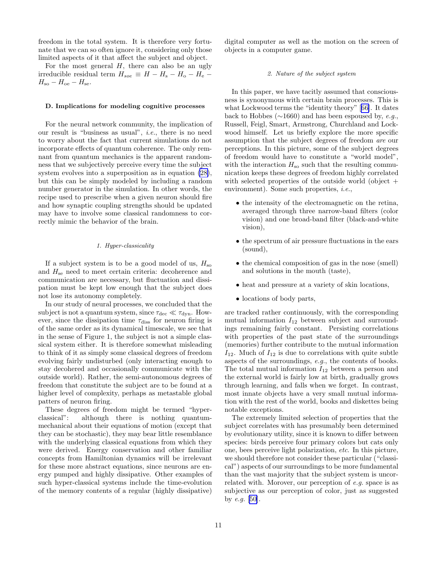freedom in the total system. It is therefore very fortunate that we can so often ignore it, considering only those limited aspects of it that affect the subject and object.

For the most general  $H$ , there can also be an ugly irreducible residual term  $H_{soc} \equiv H - H_s - H_o - H_e H_{\rm so} - H_{\rm oe} - H_{\rm se}.$ 

### D. Implications for modeling cognitive processes

For the neural network community, the implication of our result is "business as usual", i.e., there is no need to worry about the fact that current simulations do not incorporate effects of quantum coherence. The only remnant from quantum mechanics is the apparent randomness that we subjectively perceive every time the subject system evolves into a superposition as in equation  $(28)$ , but this can be simply modeled by including a random number generator in the simulation. In other words, the recipe used to prescribe when a given neuron should fire and how synaptic coupling strengths should be updated may have to involve some classical randomness to correctly mimic the behavior of the brain.

## *1. Hyper-classicality*

If a subject system is to be a good model of us,  $H_{\rm so}$ and  $H_{\rm se}$  need to meet certain criteria: decoherence and communication are necessary, but fluctuation and dissipation must be kept low enough that the subject does not lose its autonomy completely.

In our study of neural processes, we concluded that the subject is not a quantum system, since  $\tau_{\text{dec}} \ll \tau_{\text{dyn}}$ . However, since the dissipation time  $\tau_{\text{diss}}$  for neuron firing is of the same order as its dynamical timescale, we see that in the sense of Figure 1, the subject is not a simple classical system either. It is therefore somewhat misleading to think of it as simply some classical degrees of freedom evolving fairly undisturbed (only interacting enough to stay decohered and occasionally communicate with the outside world). Rather, the semi-autonomous degrees of freedom that constitute the subject are to be found at a higher level of complexity, perhaps as metastable global patters of neuron firing.

These degrees of freedom might be termed "hyperclassical": although there is nothing quantummechanical about their equations of motion (except that they can be stochastic), they may bear little resemblance with the underlying classical equations from which they were derived. Energy conservation and other familiar concepts from Hamiltonian dynamics will be irrelevant for these more abstract equations, since neurons are energy pumped and highly dissipative. Other examples of such hyper-classical systems include the time-evolution of the memory contents of a regular (highly dissipative) digital computer as well as the motion on the screen of objects in a computer game.

## *2. Nature of the subject system*

In this paper, we have tacitly assumed that consciousness is synonymous with certain brain processes. This is what Lockwood terms the "identity theory"[[66\]](#page-14-0). It dates back to Hobbes ( $\sim$ 1660) and has been espoused by, e.g., Russell, Feigl, Smart, Armstrong, Churchland and Lockwood himself. Let us briefly explore the more specific assumption that the subject degrees of freedom are our perceptions. In this picture, some of the subject degrees of freedom would have to constitute a "world model", with the interaction  $H_{\rm so}$  such that the resulting communication keeps these degrees of freedom highly correlated with selected properties of the outside world (object  $+$ environment). Some such properties, *i.e.*,

- the intensity of the electromagnetic on the retina, averaged through three narrow-band filters (color vision) and one broad-band filter (black-and-white vision),
- the spectrum of air pressure fluctuations in the ears (sound),
- the chemical composition of gas in the nose (smell) and solutions in the mouth (taste),
- heat and pressure at a variety of skin locations,
- locations of body parts,

are tracked rather continuously, with the corresponding mutual information  $I_{12}$  between subject and surroundings remaining fairly constant. Persisting correlations with properties of the past state of the surroundings (memories) further contribute to the mutual information  $I_{12}$ . Much of  $I_{12}$  is due to correlations with quite subtle aspects of the surroundings, e.g., the contents of books. The total mutual information  $I_{12}$  between a person and the external world is fairly low at birth, gradually grows through learning, and falls when we forget. In contrast, most innate objects have a very small mutual information with the rest of the world, books and diskettes being notable exceptions.

The extremely limited selection of properties that the subject correlates with has presumably been determined by evolutionary utility, since it is known to differ between species: birds perceive four primary colors but cats only one, bees perceive light polarization, etc. In this picture, we should therefore not consider these particular ("classical") aspects of our surroundings to be more fundamental than the vast majority that the subject system is uncorrelated with. Morover, our perception of e.g. space is as subjective as our perception of color, just as suggested by *e.g.* [\[50](#page-13-0)].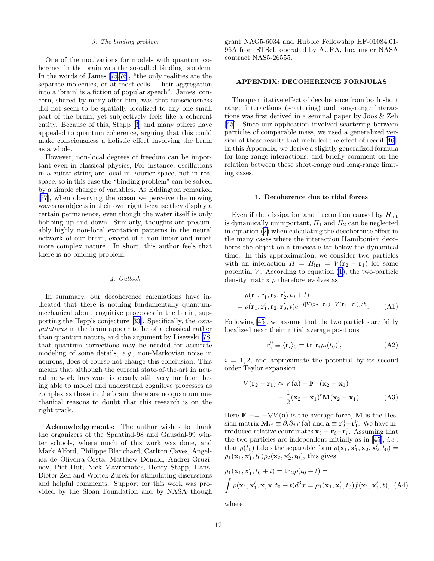## *3. The binding problem*

<span id="page-11-0"></span>One of the motivations for models with quantum coherence in the brain was the so-called binding problem. In the words of James [\[75](#page-14-0),[76](#page-14-0)], "the only realities are the separate molecules, or at most cells. Their aggregation into a 'brain' is a fiction of popular speech". James' concern, shared by many after him, was that consciousness did not seem to be spatially localized to any one small part of the brain, yet subjectively feels like a coherent entity. Because of this, Stapp[[3\]](#page-13-0) and many others have appealed to quantum coherence, arguing that this could make consciousness a holistic effect involving the brain as a whole.

However, non-local degrees of freedom can be important even in classical physics, For instance, oscillations in a guitar string are local in Fourier space, not in real space, so in this case the "binding problem" can be solved by a simple change of variables. As Eddington remarked [[77\]](#page-14-0), when observing the ocean we perceive the moving waves as objects in their own right because they display a certain permanence, even though the water itself is only bobbing up and down. Similarly, thoughts are presumably highly non-local excitation patterns in the neural network of our brain, except of a non-linear and much more complex nature. In short, this author feels that there is no binding problem.

#### *4. Outlook*

In summary, our decoherence calculations have indicated that there is nothing fundamentally quantummechanical about cognitive processes in the brain, supporting the Hepp's conjecture [\[33](#page-13-0)]. Specifically, the computations in the brain appear to be of a classical rather than quantum nature, and the argument by Lisewski [\[78](#page-14-0)] that quantum corrections may be needed for accurate modeling of some details, e.g., non-Markovian noise in neurons, does of course not change this conclusion. This means that although the current state-of-the-art in neural network hardware is clearly still very far from being able to model and understand cognitive processes as complex as those in the brain, there are no quantum mechanical reasons to doubt that this research is on the right track.

Acknowledgements: The author wishes to thank the organizers of the Spaatind-98 and Gausdal-99 winter schools, where much of this work was done, and Mark Alford, Philippe Blanchard, Carlton Caves, Angelica de Oliveira-Costa, Matthew Donald, Andrei Gruzinov, Piet Hut, Nick Mavromatos, Henry Stapp, Hans-Dieter Zeh and Woitek Zurek for stimulating discussions and helpful comments. Support for this work was provided by the Sloan Foundation and by NASA though

grant NAG5-6034 and Hubble Fellowship HF-01084.01- 96A from STScI, operated by AURA, Inc. under NASA contract NAS5-26555.

## APPENDIX: DECOHERENCE FORMULAS

The quantitative effect of decoherence from both short range interactions (scattering) and long-range interactions was first derived in a seminal paper by Joos & Zeh [[45\]](#page-13-0). Since our application involved scattering between particles of comparable mass, we used a generalized version of these results that included the effect of recoil[[46\]](#page-13-0). In this Appendix, we derive a slightly generalized formula for long-range interactions, and briefly comment on the relation between these short-range and long-range limiting cases.

#### 1. Decoherence due to tidal forces

Even if the dissipation and fluctuation caused by  $H_{\text{int}}$ is dynamically unimportant,  $H_1$  and  $H_2$  can be neglected in equation ([2\)](#page-1-0) when calculating the decoherence effect in the many cases where the interaction Hamiltonian decoheres the object on a timescale far below the dynamical time. In this approximation, we consider two particles with an interaction  $H = H_{int} = V(\mathbf{r}_2 - \mathbf{r}_1)$  for some potential  $V$ . According to equation  $(1)$  $(1)$ , the two-particle density matrix  $\rho$  therefore evolves as

$$
\rho(\mathbf{r}_1, \mathbf{r}_1', \mathbf{r}_2, \mathbf{r}_2', t_0 + t) \n= \rho(\mathbf{r}_1, \mathbf{r}_1', \mathbf{r}_2, \mathbf{r}_2', t)e^{-i[V(\mathbf{r}_2 - \mathbf{r}_1) - V(\mathbf{r}_2' - \mathbf{r}_1')]/\hbar}.
$$
\n(A1)

Following[[45\]](#page-13-0), we assume that the two particles are fairly localized near their initial average positions

$$
\mathbf{r}_i^0 \equiv \langle \mathbf{r}_i \rangle_0 = \text{tr} \left[ \mathbf{r}_i \rho_i(t_0) \right], \tag{A2}
$$

 $i = 1, 2$ , and approximate the potential by its second order Taylor expansion

$$
V(\mathbf{r}_2 - \mathbf{r}_1) \approx V(\mathbf{a}) - \mathbf{F} \cdot (\mathbf{x}_2 - \mathbf{x}_1)
$$
  
+ 
$$
\frac{1}{2} (\mathbf{x}_2 - \mathbf{x}_1)^t \mathbf{M} (\mathbf{x}_2 - \mathbf{x}_1).
$$
 (A3)

Here  $\mathbf{F} \equiv -\nabla V(\mathbf{a})$  is the average force, M is the Hessian matrix  $\mathbf{M}_{ij} \equiv \partial_i \partial_j V(\mathbf{a})$  and  $\mathbf{a} \equiv \mathbf{r}_2^0 - \mathbf{r}_1^0$ . We have introduced relative coordinates  $\mathbf{x}_i \equiv \mathbf{r}_i - \mathbf{r}_i^0$ . Assuming that the two particles are independent initially as in  $[45]$ , *i.e.*, that  $\rho(t_0)$  takes the separable form  $\rho(\mathbf{x}_1, \mathbf{x}_1', \mathbf{x}_2, \mathbf{x}_2', t_0) =$  $\rho_1(\mathbf{x}_1, \mathbf{x}_1', t_0) \rho_2(\mathbf{x}_2, \mathbf{x}_2', t_0)$ , this gives

$$
\rho_1(\mathbf{x}_1, \mathbf{x}_1', t_0 + t) = \text{tr}_2 \rho(t_0 + t) =
$$
  

$$
\int \rho(\mathbf{x}_1, \mathbf{x}_1', \mathbf{x}, \mathbf{x}, t_0 + t) d^3 x = \rho_1(\mathbf{x}_1, \mathbf{x}_1', t_0) f(\mathbf{x}_1, \mathbf{x}_1', t), \quad (A4)
$$

where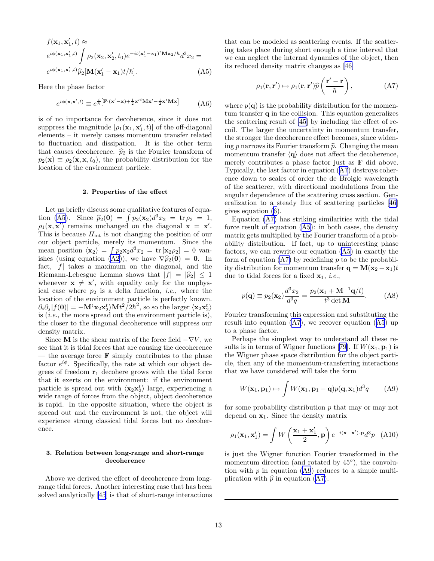$$
f(\mathbf{x}_1, \mathbf{x}_1', t) \approx
$$
  
\n
$$
e^{i\phi(\mathbf{x}_1, \mathbf{x}_1', t)} \int \rho_2(\mathbf{x}_2, \mathbf{x}_2', t_0) e^{-it(\mathbf{x}_1' - \mathbf{x}_1)^t \mathbf{M} \mathbf{x}_2 / \hbar} d^3 x_2 =
$$
  
\n
$$
e^{i\phi(\mathbf{x}_1, \mathbf{x}_1', t)} \hat{p}_2[\mathbf{M}(\mathbf{x}_1' - \mathbf{x}_1) t/\hbar].
$$
\n(A5)

Here the phase factor

$$
e^{i\phi(\mathbf{x}, \mathbf{x}',t)} \equiv e^{\frac{i}{\hbar} \left[ \mathbf{F} \cdot (\mathbf{x}' - \mathbf{x}) + \frac{1}{2} \mathbf{x}'^t \mathbf{M} \mathbf{x}' - \frac{1}{2} \mathbf{x}^t \mathbf{M} \mathbf{x} \right]} \tag{A6}
$$

is of no importance for decoherence, since it does not suppress the magnitude  $|\rho_1(\mathbf{x}_1, \mathbf{x}'_1, t)|$  of the off-diagonal elements – it merely causes momentum transfer related to fluctuation and dissipation. It is the other term that causes decoherence.  $\hat{p}_2$  is the Fourier transform of  $p_2(\mathbf{x}) \equiv \rho_2(\mathbf{x}, \mathbf{x}, t_0)$ , the probability distribution for the location of the environment particle.

## 2. Properties of the effect

Let us briefly discuss some qualitative features of equation (A5). Since  $\hat{p}_2(0) = \int p_2(x_2) d^3 x_2 = \text{tr } \rho_2 = 1,$  $\rho_1(\mathbf{x}, \mathbf{x}')$  remains unchanged on the diagonal  $\mathbf{x} = \mathbf{x}'$ . This is because  $H_{\text{int}}$  is not changing the position of our our object particle, merely its momentum. Since the mean position  $\langle \mathbf{x}_2 \rangle = \int p_2 \mathbf{x}_2 d^3 x_2 = \text{tr}[\mathbf{x}_2 \rho_2] = 0$  van-ishes (using equation [\(A2\)](#page-11-0)), we have  $\nabla \widehat{p}_2(\mathbf{0}) = \mathbf{0}$ . In fact,  $|f|$  takes a maximum on the diagonal, and the Riemann-Lebesgue Lemma shows that  $|f| = |\hat{p}_2| \leq 1$ whenever  $\mathbf{x} \neq \mathbf{x}'$ , with equality only for the unphysical case where  $p_2$  is a delta function, *i.e.*, where the location of the environment particle is perfectly known.  $\partial_i \partial_j |f(\mathbf{0})| = -\mathbf{M}' \mathbf{x}_2 \mathbf{x}_2^t \mathbf{M} t^2 / 2\hbar^2$ , so so the larger  $\langle \mathbf{x}_2 \mathbf{x}_2^t \rangle$ is  $(i.e.,$  the more spread out the environment particle is), the closer to the diagonal decoherence will suppress our density matrix.

Since **M** is the shear matrix of the force field  $-\nabla V$ , we see that it is tidal forces that are causing the decoherence — the average force  $\bf{F}$  simply contributes to the phase factor  $e^{i\phi}$ . Specifically, the rate at which our object degrees of freedom  $r_1$  decohere grows with the tidal force that it exerts on the environment: if the environment particle is spread out with  $\langle x_2 x_2^t \rangle$  large, experiencing a wide range of forces from the object, object decoherence is rapid. In the opposite situation, where the object is spread out and the environment is not, the object will experience strong classical tidal forces but no decoherence.

# 3. Relation between long-range and short-range decoherence

Above we derived the effect of decoherence from longrange tidal forces. Another interesting case that has been solved analytically [\[45](#page-13-0)] is that of short-range interactions

that can be modeled as scattering events. If the scattering takes place during short enough a time interval that we can neglect the internal dynamics of the object, then its reduced density matrix changes as[[46\]](#page-13-0)

$$
\rho_1(\mathbf{r}, \mathbf{r}') \mapsto \rho_1(\mathbf{r}, \mathbf{r}')\hat{p}\left(\frac{\mathbf{r}' - \mathbf{r}}{\hbar}\right),\tag{A7}
$$

where  $p(\mathbf{q})$  is the probability distribution for the momentum transfer q in the collision. This equation generalizes the scattering result of [\[45](#page-13-0)] by including the effect of recoil. The larger the uncertainty in momentum transfer, the stronger the decoherence effect becomes, since widening p narrows its Fourier transform  $\hat{p}$ . Changing the mean momentum transfer  $\langle q \rangle$  does not affect the decoherence, merely contributes a phase factor just as F did above. Typically, the last factor in equation (A7) destroys coherence down to scales of order the de Broigle wavelength of the scatterer, with directional modulations from the angular dependence of the scattering cross section. Generalization to a steady flux of scattering particles [\[46](#page-13-0)] gives equation ([6\)](#page-4-0).

Equation (A7) has striking similarities with the tidal force result of equation (A5): in both cases, the density matrix gets multiplied by the Fourier transform of a probability distribution. If fact, up to uninteresting phase factors, we can rewrite our equation (A5) in exactly the form of equation  $(A7)$  by redefining p to be the probability distribution for momentum transfer  $\mathbf{q} = \mathbf{M}(\mathbf{x}_2 - \mathbf{x}_1)t$ due to tidal forces for a fixed  $\mathbf{x}_1$ , *i.e.*,

$$
p(\mathbf{q}) \equiv p_2(\mathbf{x}_2) \frac{d^3 x_2}{d^3 q} = \frac{p_2(\mathbf{x}_1 + \mathbf{M}^{-1} \mathbf{q}/t)}{t^3 \det \mathbf{M}}.
$$
 (A8)

Fourier transforming this expression and substituting the result into equation (A7), we recover equation (A5) up to a phase factor.

Perhaps the simplest way to understand all these re-sultsis in terms of Wigner functions [[79](#page-14-0)]. If  $W(\mathbf{x}_1, \mathbf{p}_1)$  is the Wigner phase space distribution for the object particle, then any of the momentum-transferring interactions that we have considered will take the form

$$
W(\mathbf{x}_1, \mathbf{p}_1) \mapsto \int W(\mathbf{x}_1, \mathbf{p}_1 - \mathbf{q}) p(\mathbf{q}, \mathbf{x}_1) d^3 q \qquad (A9)
$$

for some probability distribution p that may or may not depend on  $x_1$ . Since the density matrix

$$
\rho_1(\mathbf{x}_1, \mathbf{x}'_1) = \int W\left(\frac{\mathbf{x}_1 + \mathbf{x}'_1}{2}, \mathbf{p}\right) e^{-i(\mathbf{x} - \mathbf{x}') \cdot \mathbf{p}} d^3 p \quad (A10)
$$

is just the Wigner function Fourier transformed in the momentum direction (and rotated by 45◦ ), the convolution with  $p$  in equation (A9) reduces to a simple multiplication with  $\hat{p}$  in equation (A7).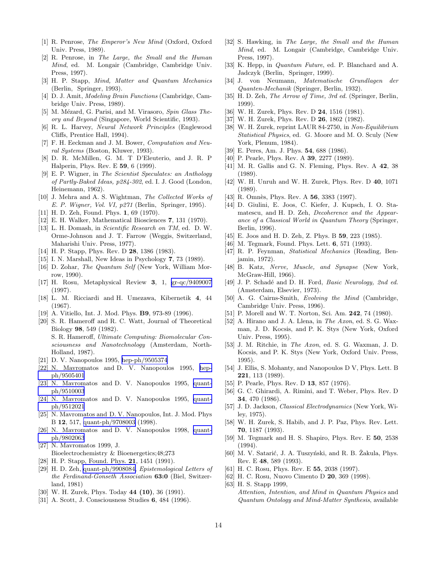- <span id="page-13-0"></span>[1] R. Penrose, *The Emperor's New Mind* (Oxford, Oxford Univ. Press, 1989).
- [2] R. Penrose, in *The Large, the Small and the Human Mind*, ed. M. Longair (Cambridge, Cambridge Univ. Press, 1997).
- [3] H. P. Stapp, *Mind, Matter and Quantum Mechanics* (Berlin, Springer, 1993).
- [4] D. J. Amit, *Modeling Brain Functions* (Cambridge, Cambridge Univ. Press, 1989).
- [5] M. Mézard, G. Parisi, and M. Virasoro, *Spin Glass Theory and Beyond* (Singapore, World Scientific, 1993).
- [6] R. L. Harvey, *Neural Network Principles* (Englewood Cliffs, Prentice Hall, 1994).
- [7] F. H. Eeckman and J. M. Bower, *Computation and Neural Systems* (Boston, Kluwer, 1993).
- [8] D. R. McMillen, G. M. T D'Eleuterio, and J. R. P Halperin, Phys. Rev. E 59, 6 (1999).
- [9] E. P. Wigner, in *The Scientist Speculates: an Anthology of Partly-Baked Ideas, p284-302*, ed. I. J. Good (London, Heinemann, 1962).
- [10] J. Mehra and A. S. Wightman, *The Collected Works of E. P. Wigner, Vol. VI, p271* (Berlin, Springer, 1995).
- [11] H. D. Zeh, Found. Phys. 1, 69 (1970).
- [12] E. H. Walker, Mathematical Biosciences 7, 131 (1970).
- [13] L. H. Domash, in *Scientific Research on TM*, ed. D. W. Orme-Johnson and J. T. Farrow (Weggis, Switzerland, Maharishi Univ. Press, 1977).
- [14] H. P. Stapp, Phys. Rev. D **28**, 1386 (1983).
- [15] I. N. Marshall, New Ideas in Psychology 7, 73 (1989).
- [16] D. Zohar, *The Quantum Self* (New York, William Morrow, 1990).
- [17] H. Rosu, Metaphysical Review 3, 1, [gr-qc/9409007](http://arXiv.org/abs/gr-qc/9409007) (1997).
- [18] L. M. Ricciardi and H. Umezawa, Kibernetik 4, 44 (1967).
- [19] A. Vitiello, Int. J. Mod. Phys. B9, 973-89 (1996).
- [20] S. R. Hameroff and R. C. Watt, Journal of Theoretical Biology 98, 549 (1982). S. R. Hameroff, *Ultimate Computing: Biomolecular Consciousness and Nanotechnology* (Amsterdam, North-Holland, 1987).
- [21] D. V. Nanopoulos 1995, [hep-ph/9505374](http://arXiv.org/abs/hep-ph/9505374)
- [22] N. Mavromatos and D. V. Nanopoulos 1995, [hep](http://arXiv.org/abs/hep-ph/9505401)[ph/9505401](http://arXiv.org/abs/hep-ph/9505401)
- [23] N. Mavromatos and D. V. Nanopoulos 1995, [quant](http://arXiv.org/abs/quant-ph/9510003)[ph/9510003](http://arXiv.org/abs/quant-ph/9510003)
- [24] N. Mavromatos and D. V. Nanopoulos 1995, [quant](http://arXiv.org/abs/quant-ph/9512021)[ph/9512021](http://arXiv.org/abs/quant-ph/9512021)
- [25] N. Mavromatos and D. V. Nanopoulos, Int. J. Mod. Phys B 12, 517, [quant-ph/9708003](http://arXiv.org/abs/quant-ph/9708003) (1998).
- [26] N. Mavromatos and D. V. Nanopoulos 1998, [quant](http://arXiv.org/abs/quant-ph/9802063)[ph/9802063](http://arXiv.org/abs/quant-ph/9802063)
- [27] N. Mavromatos 1999, J. Bioelectrochemistry & Bioenergetics;48;273
- [28] H. P. Stapp, Found. Phys. 21, 1451 (1991).
- [29] H. D. Zeh, [quant-ph/9908084,](http://arXiv.org/abs/quant-ph/9908084) *Epistemological Letters of the Ferdinand-Gonseth Association* 63:0 (Biel, Switzerland, 1981)
- [30] W. H. Zurek, Phys. Today 44 (10), 36 (1991).
- [31] A. Scott, J. Consciousness Studies 6, 484 (1996).
- [32] S. Hawking, in *The Large, the Small and the Human Mind*, ed. M. Longair (Cambridge, Cambridge Univ. Press, 1997).
- [33] K. Hepp, in *Quantum Future*, ed. P. Blanchard and A. Jadczyk (Berlin, Springer, 1999).
- [34] J. von Neumann, *Matematische Grundlagen der Quanten-Mechanik* (Springer, Berlin, 1932).
- [35] H. D. Zeh, *The Arrow of Time, 3rd ed.* (Springer, Berlin, 1999).
- [36] W. H. Zurek, Phys. Rev. D **24**, 1516 (1981).
- [37] W. H. Zurek, Phys. Rev. D 26, 1862 (1982).
- [38] W. H. Zurek, reprint LAUR 84-2750, in *Non-Equilibrium Statistical Physics*, ed. G. Moore and M. O. Sculy (New York, Plenum, 1984).
- [39] E. Peres, Am. J. Phys. **54**, 688 (1986).
- [40] P. Pearle, Phys. Rev. A **39**, 2277 (1989).
- [41] M. R. Gallis and G. N. Fleming, Phys. Rev. A 42, 38 (1989).
- [42] W. H. Unruh and W. H. Zurek, Phys. Rev. D 40, 1071 (1989).
- [43] R. Omnès, Phys. Rev. A 56, 3383 (1997).
- [44] D. Giulini, E. Joos, C. Kiefer, J. Kupsch, I. O. Stamatescu, and H. D. Zeh, *Decoherence and the Appearance of a Classical World in Quantum Theory* (Springer, Berlin, 1996).
- [45] E. Joos and H. D. Zeh, Z. Phys. B 59, 223 (1985).
- [46] M. Tegmark, Found. Phys. Lett. **6**, 571 (1993).
- [47] R. P. Feynman, *Statistical Mechanics* (Reading, Benjamin, 1972).
- [48] B. Katz, *Nerve, Muscle, and Synapse* (New York, McGraw-Hill, 1966).
- [49] J. P. Schadé and D. H. Ford, *Basic Neurology, 2nd ed.* (Amsterdam, Elsevier, 1973).
- [50] A. G. Cairns-Smith, *Evolving the Mind* (Cambridge, Cambridge Univ. Press, 1996).
- [51] P. Morell and W. T. Norton, Sci. Am. 242, 74 (1980).
- [52] A. Hirano and J. A. Llena, in *The Axon*, ed. S. G. Waxman, J. D. Kocsis, and P. K. Stys (New York, Oxford Univ. Press, 1995).
- [53] J. M. Ritchie, in *The Axon*, ed. S. G. Waxman, J. D. Kocsis, and P. K. Stys (New York, Oxford Univ. Press, 1995).
- [54] J. Ellis, S. Mohanty, and Nanopoulos D V, Phys. Lett. B 221, 113 (1989).
- [55] P. Pearle, Phys. Rev. D **13**, 857 (1976).
- [56] G. C. Ghirardi, A. Rimini, and T. Weber, Phys. Rev. D 34, 470 (1986).
- [57] J. D. Jackson, *Classical Electrodynamics* (New York, Wiley, 1975).
- [58] W. H. Zurek, S. Habib, and J. P. Paz, Phys. Rev. Lett. 70, 1187 (1993).
- [59] M. Tegmark and H. S. Shapiro, Phys. Rev. E 50, 2538 (1994).
- $[60]$  M. V. Satarić, J. A. Tuszyński, and R. B.  $\rm Zakula$ , Phys. Rev. E 48, 589 (1993).
- [61] H. C. Rosu, Phys. Rev. E **55**, 2038 (1997).
- [62] H. C. Rosu, Nuovo Cimento D 20, 369 (1998).
- [63] H. S. Stapp 1999, *Attention, Intention, and Mind in Quantum Physics* and *Quantum Ontology and Mind-Matter Synthesis*, available